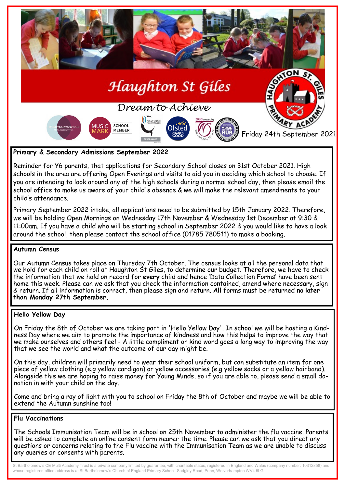

# **Primary & Secondary Admissions September 2022**

Reminder for Y6 parents, that applications for Secondary School closes on 31st October 2021. High schools in the area are offering Open Evenings and visits to aid you in deciding which school to choose. If you are intending to look around any of the high schools during a normal school day, then please email the school office to make us aware of your child's absence & we will make the relevant amendments to your child's attendance.

Primary September 2022 intake, all applications need to be submitted by 15th January 2022. Therefore, we will be holding Open Mornings on Wednesday 17th November & Wednesday 1st December at 9:30 & 11:00am. If you have a child who will be starting school in September 2022 & you would like to have a look around the school, then please contact the school office (01785 780511) to make a booking.

# **Autumn Census**

Our Autumn Census takes place on Thursday 7th October. The census looks at all the personal data that we hold for each child on roll at Haughton St Giles, to determine our budget. Therefore, we have to check the information that we hold on record for **every** child and hence 'Data Collection Forms' have been sent home this week. Please can we ask that you check the information contained, amend where necessary, sign & return. If all information is correct, then please sign and return. **All** forms must be returned **no later than Monday 27th September.**

# **Hello Yellow Day**

On Friday the 8th of October we are taking part in 'Hello Yellow Day'. In school we will be hosting a Kindness Day where we aim to promote the importance of kindness and how this helps to improve the way that we make ourselves and others feel - A little compliment or kind word goes a long way to improving the way that we see the world and what the outcome of our day might be.

On this day, children will primarily need to wear their school uniform, but can substitute an item for one piece of yellow clothing (e.g yellow cardigan) or yellow accessories (e.g yellow socks or a yellow hairband). Alongside this we are hoping to raise money for Young Minds, so if you are able to, please send a small donation in with your child on the day.

Come and bring a ray of light with you to school on Friday the 8th of October and maybe we will be able to extend the Autumn sunshine tool

#### **Flu Vaccinations**

The Schools Immunisation Team will be in school on 25th November to administer the flu vaccine. Parents will be asked to complete an online consent form nearer the time. Please can we ask that you direct any questions or concerns relating to the Flu vaccine with the Immunisation Team as we are unable to discuss any queries or consents with parents.

St Bartholomew's CE Multi Academy Trust is a private company limited by guarantee, with charitable status, registered in England and Wales (company number: 10312858) and whose registered office address is at St Bartholomew's Church of England Primary School, Sedgley Road, Penn, Wolverhampton WV4 5LG.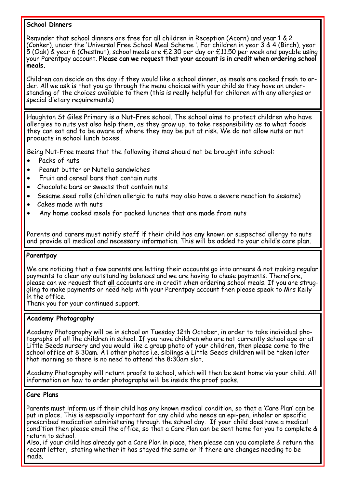# **School Dinners**

Reminder that school dinners are free for all children in Reception (Acorn) and year 1 & 2 (Conker), under the 'Universal Free School Meal Scheme '. For children in year 3 & 4 (Birch), year 5 (Oak) & year 6 (Chestnut), school meals are £2.30 per day or £11.50 per week and payable using your Parentpay account. **Please can we request that your account is in credit when ordering school meals.**

Children can decide on the day if they would like a school dinner, as meals are cooked fresh to order. All we ask is that you go through the menu choices with your child so they have an understanding of the choices available to them (this is really helpful for children with any allergies or special dietary requirements)

Haughton St Giles Primary is a Nut-Free school. The school aims to protect children who have allergies to nuts yet also help them, as they grow up, to take responsibility as to what foods they can eat and to be aware of where they may be put at risk. We do not allow nuts or nut products in school lunch boxes.

Being Nut-Free means that the following items should not be brought into school:

- Packs of nuts
- Peanut butter or Nutella sandwiches
- Fruit and cereal bars that contain nuts
- Chocolate bars or sweets that contain nuts
- Sesame seed rolls (children allergic to nuts may also have a severe reaction to sesame)
- Cakes made with nuts
- Any home cooked meals for packed lunches that are made from nuts

Parents and carers must notify staff if their child has any known or suspected allergy to nuts and provide all medical and necessary information. This will be added to your child's care plan.

# **Parentpay**

We are noticing that a few parents are letting their accounts go into arrears & not making regular payments to clear any outstanding balances and we are having to chase payments. Therefore, please can we request that **all** accounts are in credit when ordering school meals. If you are struggling to make payments or need help with your Parentpay account then please speak to Mrs Kelly in the office.

Thank you for your continued support.

# **Academy Photography**

Academy Photography will be in school on Tuesday 12th October, in order to take individual photographs of all the children in school. If you have children who are not currently school age or at Little Seeds nursery and you would like a group photo of your children, then please come to the school office at 8:30am. All other photos i.e. siblings & Little Seeds children will be taken later that morning so there is no need to attend the 8:30am slot.

Academy Photography will return proofs to school, which will then be sent home via your child. All information on how to order photographs will be inside the proof packs.

# **Care Plans**

Parents must inform us if their child has any known medical condition, so that a 'Care Plan' can be put in place. This is especially important for any child who needs an epi-pen, inhaler or specific prescribed medication administering through the school day. If your child does have a medical condition then please email the office, so that a Care Plan can be sent home for you to complete & return to school.

Also, if your child has already got a Care Plan in place, then please can you complete & return the recent letter, stating whether it has stayed the same or if there are changes needing to be made.